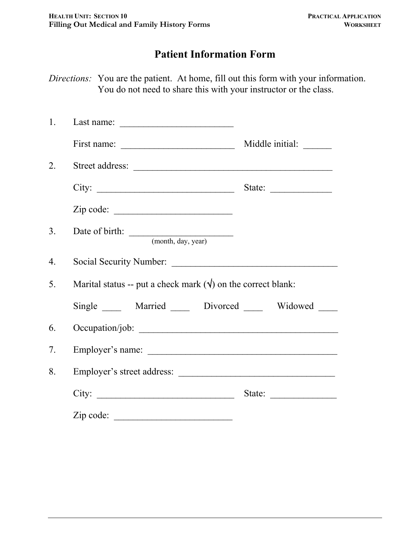# **Patient Information Form**

*Directions:* You are the patient. At home, fill out this form with your information. You do not need to share this with your instructor or the class.

| 1.               |                                                                      |                                                           |
|------------------|----------------------------------------------------------------------|-----------------------------------------------------------|
|                  |                                                                      |                                                           |
| $\overline{2}$ . | Street address:                                                      |                                                           |
|                  | City:                                                                | State: $\frac{1}{\sqrt{1-\frac{1}{2}} \cdot \frac{1}{2}}$ |
|                  | Zip code:                                                            |                                                           |
| 3 <sub>1</sub>   | Date of birth: <u>(month, day, year)</u>                             |                                                           |
| $\overline{4}$ . |                                                                      |                                                           |
| 5.               | Marital status -- put a check mark $(\forall)$ on the correct blank: |                                                           |
|                  | Single ______ Married ______ Divorced ______ Widowed                 |                                                           |
| 6.               |                                                                      |                                                           |
| 7.               |                                                                      |                                                           |
| 8.               |                                                                      |                                                           |
|                  |                                                                      | State: $\frac{1}{\sqrt{1-\frac{1}{2}} \cdot \frac{1}{2}}$ |
|                  | Zip code:                                                            |                                                           |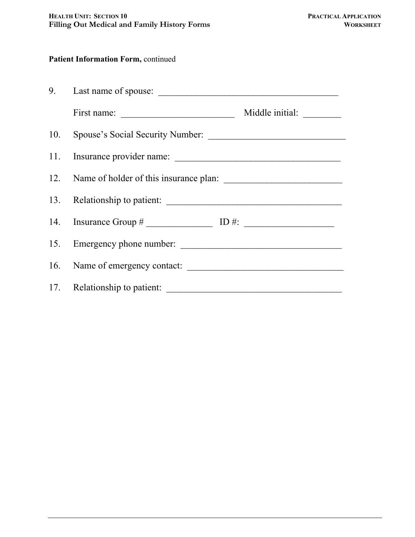#### **Patient Information Form, continued**

| First name: $\overline{\qquad \qquad }$    |  |  |
|--------------------------------------------|--|--|
|                                            |  |  |
|                                            |  |  |
| 12. Name of holder of this insurance plan: |  |  |
| 13. Relationship to patient:               |  |  |
|                                            |  |  |
|                                            |  |  |
|                                            |  |  |
| 17. Relationship to patient:               |  |  |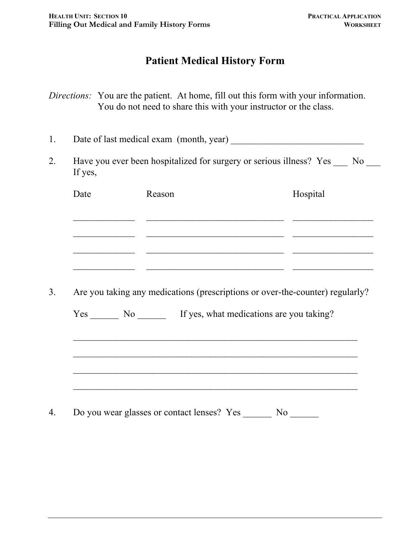### **Patient Medical History Form**

*Directions:* You are the patient. At home, fill out this form with your information. You do not need to share this with your instructor or the class.

1. Date of last medical exam (month, year)

2. Have you ever been hospitalized for surgery or serious illness? Yes No If yes,

| Are you taking any medications (prescriptions or over-the-counter) regularly?<br>Yes No If yes, what medications are you taking? |  |  |
|----------------------------------------------------------------------------------------------------------------------------------|--|--|
|                                                                                                                                  |  |  |
|                                                                                                                                  |  |  |
|                                                                                                                                  |  |  |
|                                                                                                                                  |  |  |
|                                                                                                                                  |  |  |
|                                                                                                                                  |  |  |

 $\mathcal{L}_\text{max}$  , and the contract of the contract of the contract of the contract of the contract of the contract of the contract of the contract of the contract of the contract of the contract of the contract of the contr

4. Do you wear glasses or contact lenses? Yes \_\_\_\_\_\_\_ No \_\_\_\_\_\_\_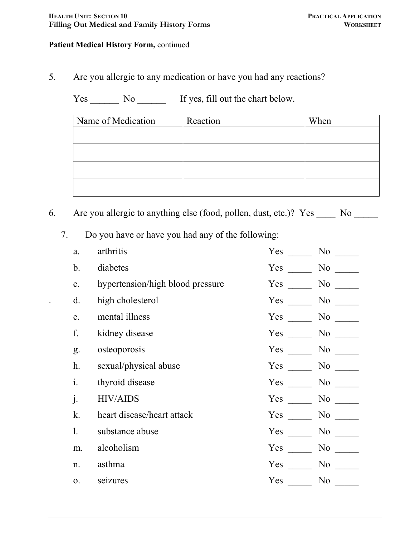#### **Patient Medical History Form,** continued

5. Are you allergic to any medication or have you had any reactions?

Yes \_\_\_\_\_\_\_ No \_\_\_\_\_\_\_ If yes, fill out the chart below.

| Name of Medication | Reaction | When |
|--------------------|----------|------|
|                    |          |      |
|                    |          |      |
|                    |          |      |
|                    |          |      |
|                    |          |      |

6. Are you allergic to anything else (food, pollen, dust, etc.)? Yes \_\_\_\_\_ No \_\_\_\_\_

7. Do you have or have you had any of the following:

| a.             | arthritis                        | Yes | No.                                                                                                                                                                                                                               |
|----------------|----------------------------------|-----|-----------------------------------------------------------------------------------------------------------------------------------------------------------------------------------------------------------------------------------|
| $\mathbf b$ .  | diabetes                         | Yes | No                                                                                                                                                                                                                                |
| c.             | hypertension/high blood pressure | Yes | No                                                                                                                                                                                                                                |
| $\mathbf{d}$ . | high cholesterol                 | Yes | No                                                                                                                                                                                                                                |
| e.             | mental illness                   | Yes | No                                                                                                                                                                                                                                |
| f.             | kidney disease                   | Yes | No new years of the New York of the New York of the New York of the New York of the New York of the New York o<br>New York of the New York of the New York of the New York of the New York of the New York of the New York of the |
| g.             | osteoporosis                     | Yes | No No                                                                                                                                                                                                                             |
| h.             | sexual/physical abuse            | Yes | No new years of the New York of the New York of the New York of the New York of the New York of the New York o<br>New York of the New York of the New York of the New York of the New York of the New York of the New York of the |
| i.             | thyroid disease                  | Yes | No r                                                                                                                                                                                                                              |
| $\dot{J}$ .    | <b>HIV/AIDS</b>                  | Yes | No                                                                                                                                                                                                                                |
| k.             | heart disease/heart attack       | Yes | No                                                                                                                                                                                                                                |
| 1.             | substance abuse                  | Yes | No                                                                                                                                                                                                                                |
| m.             | alcoholism                       | Yes | No                                                                                                                                                                                                                                |
| n.             | asthma                           | Yes | N <sub>0</sub>                                                                                                                                                                                                                    |
| 0.             | seizures                         | Yes | N <sub>0</sub>                                                                                                                                                                                                                    |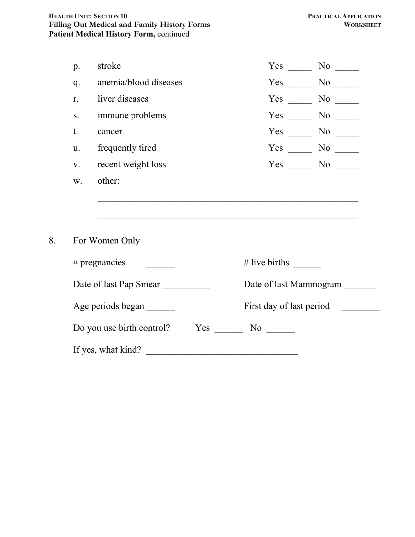| p. | stroke                           |                                                                                                           | $Yes \t No \t$     |  |
|----|----------------------------------|-----------------------------------------------------------------------------------------------------------|--------------------|--|
| q. | anemia/blood diseases            |                                                                                                           | $Yes \_\_ No \_\_$ |  |
| r. | liver diseases                   | $Yes \t —$                                                                                                |                    |  |
| S. | immune problems                  | $Yes \_\_$                                                                                                | $No \ \$           |  |
| t. | cancer                           |                                                                                                           | $Yes \_\_ No \_\_$ |  |
| u. | frequently tired                 |                                                                                                           | $Yes \_\_ No \_\_$ |  |
| V. | recent weight loss               |                                                                                                           | $Yes \_\_ No \_\_$ |  |
| W. | other:                           |                                                                                                           |                    |  |
|    | For Women Only                   |                                                                                                           |                    |  |
|    | # pregnancies                    | # live births $\frac{1}{\sqrt{1-\frac{1}{2}}\sqrt{1-\frac{1}{2}}\sqrt{1-\frac{1}{2}}\sqrt{1-\frac{1}{2}}$ |                    |  |
|    | Date of last Pap Smear           | Date of last Mammogram                                                                                    |                    |  |
|    | Age periods began                | First day of last period                                                                                  |                    |  |
|    | Do you use birth control?<br>Yes | N <sub>0</sub>                                                                                            |                    |  |

| If yes, what kind? |  |
|--------------------|--|
|                    |  |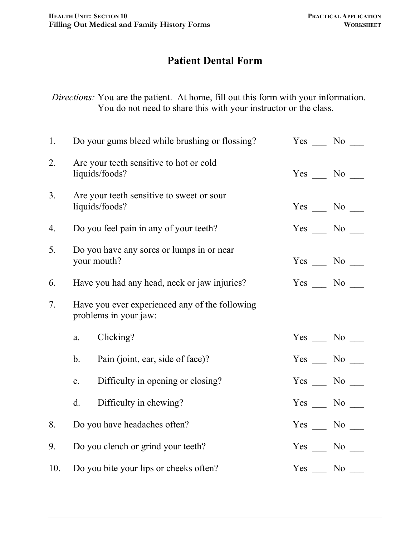# **Patient Dental Form**

*Directions:* You are the patient. At home, fill out this form with your information. You do not need to share this with your instructor or the class.

| 1.  |                                                          | Do your gums bleed while brushing or flossing?                          | Yes No             |  |
|-----|----------------------------------------------------------|-------------------------------------------------------------------------|--------------------|--|
| 2.  |                                                          | Are your teeth sensitive to hot or cold<br>liquids/foods?               | $Yes \_\_ No \_\_$ |  |
| 3.  |                                                          | Are your teeth sensitive to sweet or sour<br>liquids/foods?             | $Yes \_\_ No \_\_$ |  |
| 4.  |                                                          | Do you feel pain in any of your teeth?                                  | $Yes \_ No \_$     |  |
| 5.  |                                                          | Do you have any sores or lumps in or near<br>your mouth?                | $Yes \_\_ No \_\_$ |  |
| 6.  |                                                          | Have you had any head, neck or jaw injuries?                            | $Yes \_\_ No \_\_$ |  |
| 7.  |                                                          | Have you ever experienced any of the following<br>problems in your jaw: |                    |  |
|     | a.                                                       | Clicking?                                                               | $Yes \_\_ No \_\_$ |  |
|     | $\mathbf{b}$ .                                           | Pain (joint, ear, side of face)?                                        | $Yes \_\_ No \_\_$ |  |
|     | $\mathbf{c}$ .                                           | Difficulty in opening or closing?                                       | $Yes \_\_ No \_\_$ |  |
|     | $d$ .                                                    | Difficulty in chewing?                                                  | $Yes \_ No \_$     |  |
| 8.  |                                                          | Do you have headaches often?                                            | $Yes \_\_ No \_\_$ |  |
| 9.  | Do you clench or grind your teeth?<br>$Yes \_\_ No \_\_$ |                                                                         |                    |  |
| 10. | Do you bite your lips or cheeks often?                   | Yes No                                                                  |                    |  |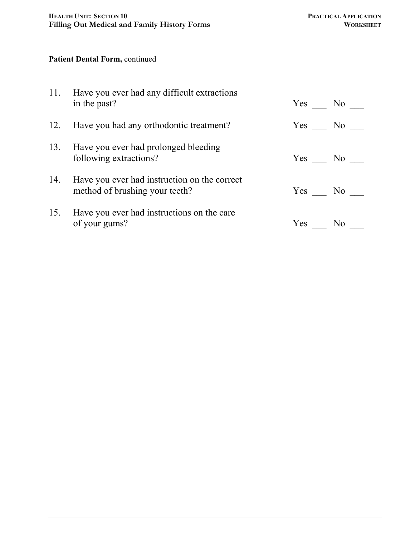#### **Patient Dental Form,** continued

| 11. Have you ever had any difficult extractions<br>in the past?                    | Yes No |  |
|------------------------------------------------------------------------------------|--------|--|
| 12. Have you had any orthodontic treatment?                                        | Yes No |  |
| 13. Have you ever had prolonged bleeding<br>following extractions?                 | Yes No |  |
| 14. Have you ever had instruction on the correct<br>method of brushing your teeth? | Yes No |  |
| 15. Have you ever had instructions on the care<br>of your gums?                    | Yes No |  |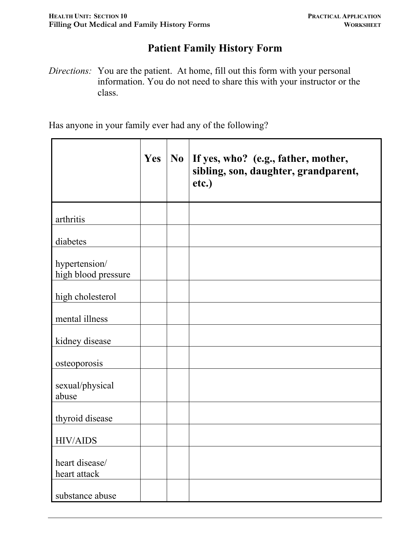# **Patient Family History Form**

*Directions:* You are the patient. At home, fill out this form with your personal information. You do not need to share this with your instructor or the class.

Has anyone in your family ever had any of the following?

|                                      | Yes | N <sub>0</sub> | If yes, who? (e.g., father, mother,<br>sibling, son, daughter, grandparent,<br>etc.) |
|--------------------------------------|-----|----------------|--------------------------------------------------------------------------------------|
| arthritis                            |     |                |                                                                                      |
| diabetes                             |     |                |                                                                                      |
| hypertension/<br>high blood pressure |     |                |                                                                                      |
| high cholesterol                     |     |                |                                                                                      |
| mental illness                       |     |                |                                                                                      |
| kidney disease                       |     |                |                                                                                      |
| osteoporosis                         |     |                |                                                                                      |
| sexual/physical<br>abuse             |     |                |                                                                                      |
| thyroid disease                      |     |                |                                                                                      |
| <b>HIV/AIDS</b>                      |     |                |                                                                                      |
| heart disease/<br>heart attack       |     |                |                                                                                      |
| substance abuse                      |     |                |                                                                                      |